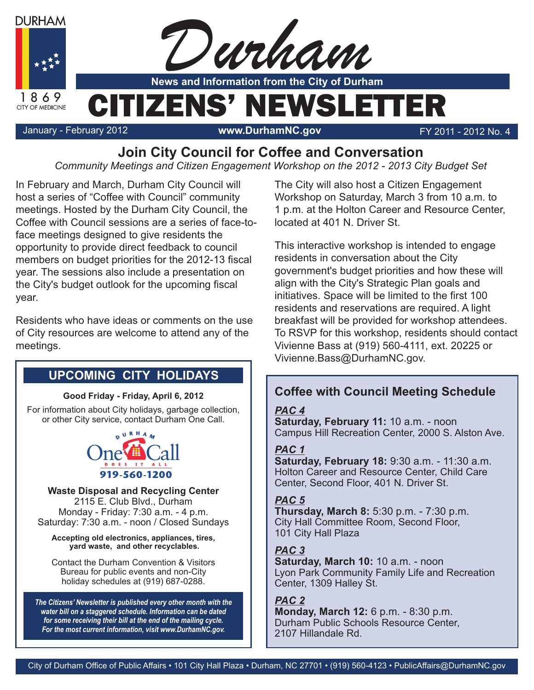

**Join City Council for Coffee and Conversation**

*Community Meetings and Citizen Engagement Workshop on the 2012 - 2013 City Budget Set*

In February and March, Durham City Council will host a series of "Coffee with Council" community meetings. Hosted by the Durham City Council, the Coffee with Council sessions are a series of face-toface meetings designed to give residents the opportunity to provide direct feedback to council members on budget priorities for the 2012-13 fiscal year. The sessions also include a presentation on the City's budget outlook for the upcoming fiscal year.

Residents who have ideas or comments on the use of City resources are welcome to attend any of the meetings.

# **UPCOMING CITY HOLIDAYS**

#### **Good Friday - Friday, April 6, 2012**

For information about City holidays, garbage collection, or other City service, contact Durham One Call.



**Waste Disposal and Recycling Center** 2115 E. Club Blvd., Durham Monday - Friday: 7:30 a.m. - 4 p.m. Saturday: 7:30 a.m. - noon / Closed Sundays

**Accepting old electronics, appliances, tires, yard waste, and other recyclables.**

Contact the Durham Convention & Visitors Bureau for public events and non-City holiday schedules at (919) 687-0288.

*The Citizens' Newsletter is published every other month with the water bill on a staggered schedule. Information can be dated for some receiving their bill at the end of the mailing cycle. For the most current information, visit www.DurhamNC.gov.*

The City will also host a Citizen Engagement Workshop on Saturday, March 3 from 10 a.m. to 1 p.m. at the Holton Career and Resource Center, located at 401 N. Driver St.

This interactive workshop is intended to engage residents in conversation about the City government's budget priorities and how these will align with the City's Strategic Plan goals and initiatives. Space will be limited to the first 100 residents and reservations are required. A light breakfast will be provided for workshop attendees. To RSVP for this workshop, residents should contact Vivienne Bass at (919) 560-4111, ext. 20225 or Vivienne.Bass@DurhamNC.gov.

# **Coffee with Council Meeting Schedule**

*PAC 4* **Saturday, February 11:** 10 a.m. - noon Campus Hill Recreation Center, 2000 S. Alston Ave.

#### PAC<sub>1</sub>

*PAC 1* **Saturday, February 18:** 9:30 a.m. - 11:30 a.m. Holton Career and Resource Center, Child Care Center, Second Floor, 401 N. Driver St.

**Thursday, March 8:** 5:30 p.m. - 7:30 p.m. City Hall Committee Room, Second Floor, 101 City Hall Plaza

**Saturday, March 10: 10 a.m. - noon** Lyon Park Community Family Life and Recreation Center, 1309 Halley St.

### PAC<sub>2</sub>

**Monday, March 12:** 6 p.m. - 8:30 p.m. Durham Public Schools Resource Center, 2107 Hillandale Rd.